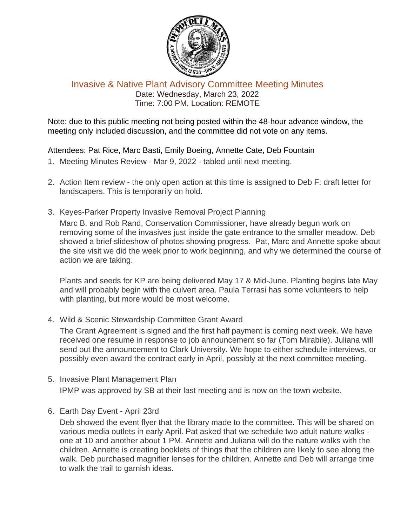

## Invasive & Native Plant Advisory Committee Meeting Minutes Date: Wednesday, March 23, 2022 Time: 7:00 PM, Location: REMOTE

Note: due to this public meeting not being posted within the 48-hour advance window, the meeting only included discussion, and the committee did not vote on any items.

## Attendees: Pat Rice, Marc Basti, Emily Boeing, Annette Cate, Deb Fountain

- 1. Meeting Minutes Review Mar 9, 2022 tabled until next meeting.
- 2. Action Item review the only open action at this time is assigned to Deb F: draft letter for landscapers. This is temporarily on hold.
- 3. Keyes-Parker Property Invasive Removal Project Planning

Marc B. and Rob Rand, Conservation Commissioner, have already begun work on removing some of the invasives just inside the gate entrance to the smaller meadow. Deb showed a brief slideshow of photos showing progress. Pat, Marc and Annette spoke about the site visit we did the week prior to work beginning, and why we determined the course of action we are taking.

Plants and seeds for KP are being delivered May 17 & Mid-June. Planting begins late May and will probably begin with the culvert area. Paula Terrasi has some volunteers to help with planting, but more would be most welcome.

4. Wild & Scenic Stewardship Committee Grant Award

The Grant Agreement is signed and the first half payment is coming next week. We have received one resume in response to job announcement so far (Tom Mirabile). Juliana will send out the announcement to Clark University. We hope to either schedule interviews, or possibly even award the contract early in April, possibly at the next committee meeting.

- 5. Invasive Plant Management Plan IPMP was approved by SB at their last meeting and is now on the town website.
- 6. Earth Day Event April 23rd

Deb showed the event flyer that the library made to the committee. This will be shared on various media outlets in early April. Pat asked that we schedule two adult nature walks one at 10 and another about 1 PM. Annette and Juliana will do the nature walks with the children. Annette is creating booklets of things that the children are likely to see along the walk. Deb purchased magnifier lenses for the children. Annette and Deb will arrange time to walk the trail to garnish ideas.